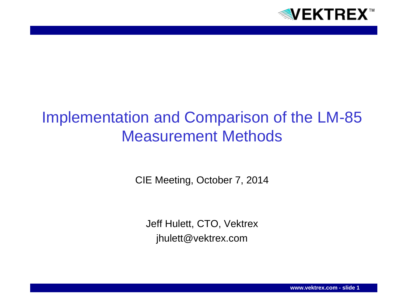

## Implementation and Comparison of the LM-85 Measurement Methods

CIE Meeting, October 7, 2014

Jeff Hulett, CTO, Vektrex jhulett@vektrex.com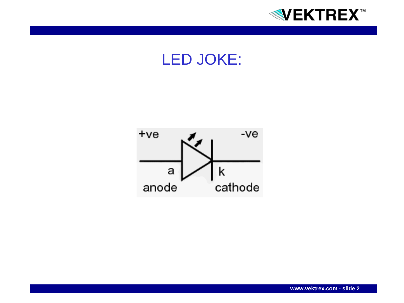



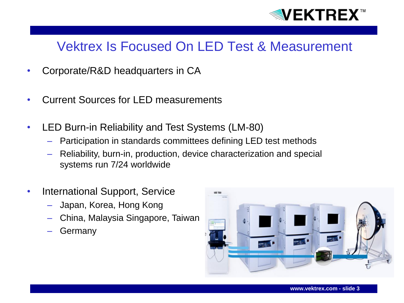

#### Vektrex Is Focused On LED Test & Measurement

- Corporate/R&D headquarters in CA
- Current Sources for LED measurements
- LED Burn-in Reliability and Test Systems (LM-80)
	- Participation in standards committees defining LED test methods
	- Reliability, burn-in, production, device characterization and special systems run 7/24 worldwide
- International Support, Service
	- Japan, Korea, Hong Kong
	- China, Malaysia Singapore, Taiwan
	- **Germany**

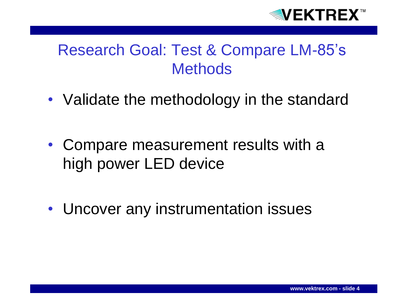

### Research Goal: Test & Compare LM-85's **Methods**

- Validate the methodology in the standard
- Compare measurement results with a high power LED device
- Uncover any instrumentation issues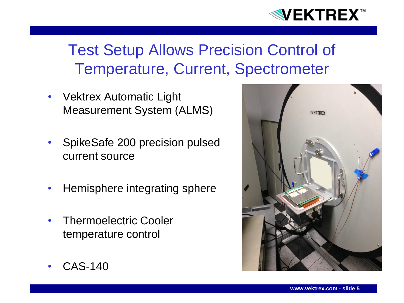

## Test Setup Allows Precision Control of Temperature, Current, Spectrometer

- Vektrex Automatic Light Measurement System (ALMS)
- SpikeSafe 200 precision pulsed current source
- Hemisphere integrating sphere
- Thermoelectric Cooler temperature control



• CAS-140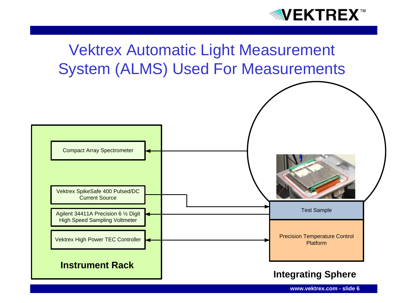

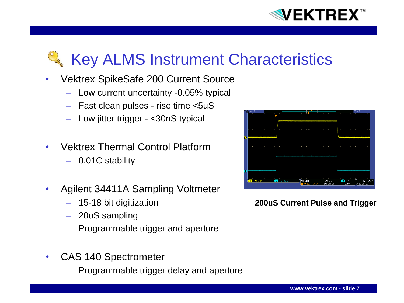

# Key ALMS Instrument Characteristics

- Vektrex SpikeSafe 200 Current Source
	- Low current uncertainty -0.05% typical
	- Fast clean pulses rise time <5uS
	- Low jitter trigger <30nS typical
- Vektrex Thermal Control Platform
	- 0.01C stability
- Agilent 34411A Sampling Voltmeter
	- 15-18 bit digitization
	- 20uS sampling
	- Programmable trigger and aperture
- CAS 140 Spectrometer
	- Programmable trigger delay and aperture



**200uS Current Pulse and Trigger**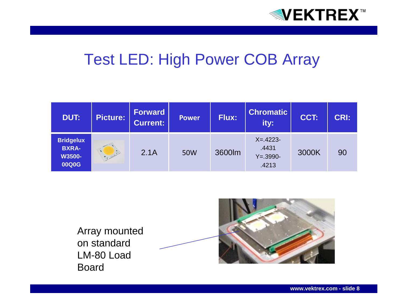

### Test LED: High Power COB Array

| <b>DUT:</b>                                         | <b>Picture:</b> | Forward<br><b>Current:</b> | <b>Power</b> | <b>Flux:</b> | <b>Chromatic</b><br>ity:                        | CCT:  | <b>CRI:</b> |
|-----------------------------------------------------|-----------------|----------------------------|--------------|--------------|-------------------------------------------------|-------|-------------|
| <b>Bridgelux</b><br><b>BXRA-</b><br>W3500-<br>00Q0G |                 | 2.1A                       | 50W          | 3600lm       | $X = 4223 -$<br>.4431<br>$Y = .3990 -$<br>.4213 | 3000K | 90          |

Array mounted on standard LM-80 Load Board

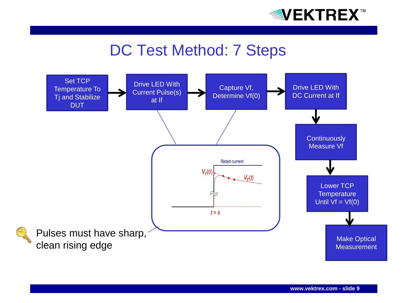

### DC Test Method: 7 Steps

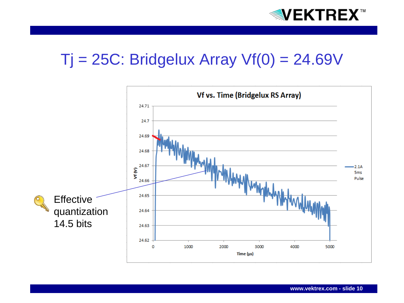

## $Tj = 25C$ : Bridgelux Array  $Vf(0) = 24.69V$

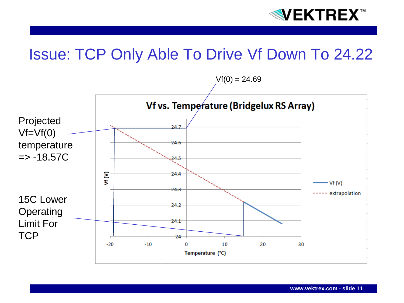

### Issue: TCP Only Able To Drive Vf Down To 24.22

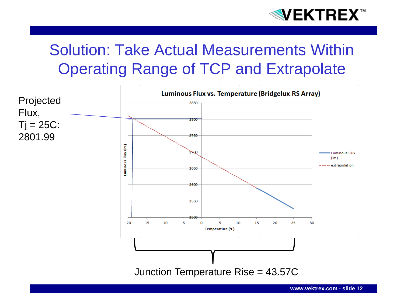

## Solution: Take Actual Measurements Within Operating Range of TCP and Extrapolate

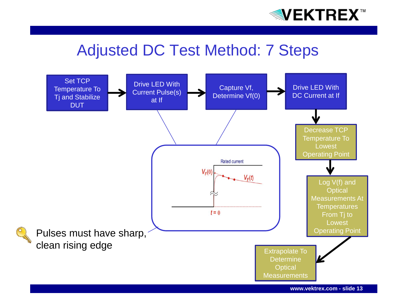

#### Adjusted DC Test Method: 7 Steps

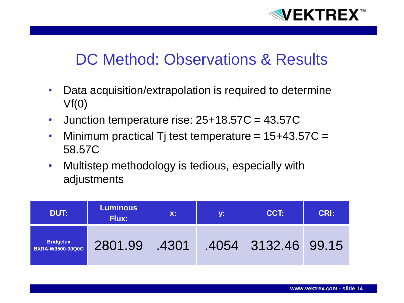

### DC Method: Observations & Results

- Data acquisition/extrapolation is required to determine  $Vf(0)$
- Junction temperature rise:  $25+18.57C = 43.57C$
- Minimum practical Tj test temperature =  $15+43.57C =$ 58.57C
- Multistep methodology is tedious, especially with adjustments

| DUT:                                        | <b>Luminous</b><br><b>Flux:</b> | $X$ : | <b>y:</b> | CCT:                | <b>CRI:</b> |
|---------------------------------------------|---------------------------------|-------|-----------|---------------------|-------------|
| <b>Bridgelux</b><br><b>BXRA-W3500-00Q0G</b> | 2801.99                         | .4301 |           | .4054 3132.46 99.15 |             |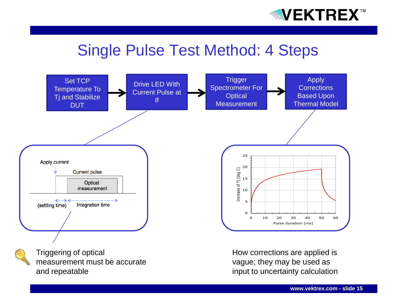

### Single Pulse Test Method: 4 Steps



measurement must be accurate and repeatable

vague; they may be used as input to uncertainty calculation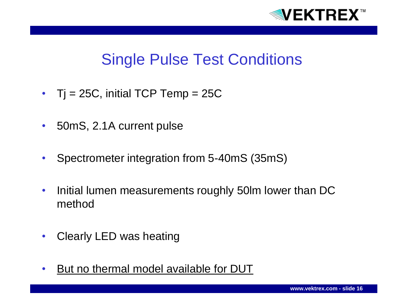

### Single Pulse Test Conditions

- $Tj = 25C$ , initial TCP Temp = 25C
- 50mS, 2.1A current pulse
- Spectrometer integration from 5-40mS (35mS)
- Initial lumen measurements roughly 50lm lower than DC method
- Clearly LED was heating
- But no thermal model available for DUT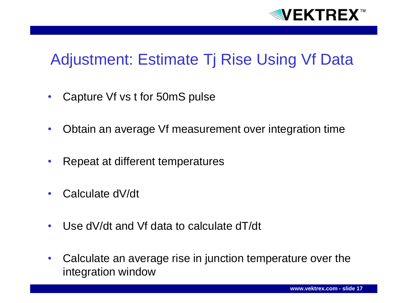

## Adjustment: Estimate Tj Rise Using Vf Data

- Capture Vf vs t for 50mS pulse
- Obtain an average Vf measurement over integration time
- Repeat at different temperatures
- Calculate dV/dt
- Use dV/dt and Vf data to calculate dT/dt
- Calculate an average rise in junction temperature over the integration window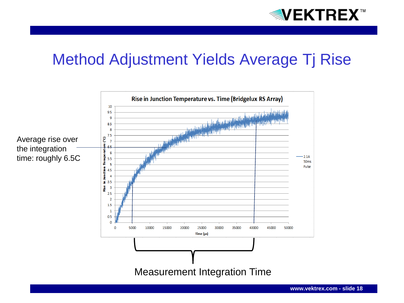

### Method Adjustment Yields Average Tj Rise

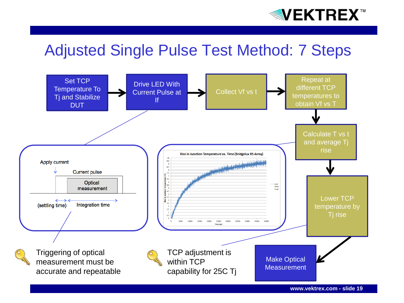

### Adjusted Single Pulse Test Method: 7 Steps

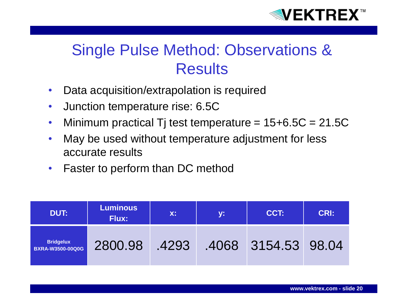

## Single Pulse Method: Observations & **Results**

- Data acquisition/extrapolation is required
- Junction temperature rise: 6.5C
- Minimum practical Tj test temperature  $= 15+6.5C = 21.5C$
- May be used without temperature adjustment for less accurate results
- Faster to perform than DC method

| DUT:                                        | <b>Luminous</b><br><b>Flux:</b> | X:    | <b>y:</b> | CCT:                | <b>CRI:</b> |
|---------------------------------------------|---------------------------------|-------|-----------|---------------------|-------------|
| <b>Bridgelux</b><br><b>BXRA-W3500-00Q0G</b> | 2800.98                         | .4293 |           | .4068 3154.53 98.04 |             |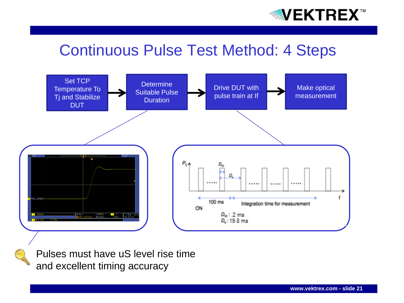

### Continuous Pulse Test Method: 4 Steps



Pulses must have uS level rise time and excellent timing accuracy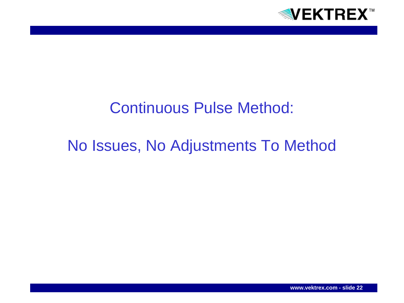

## Continuous Pulse Method:

## No Issues, No Adjustments To Method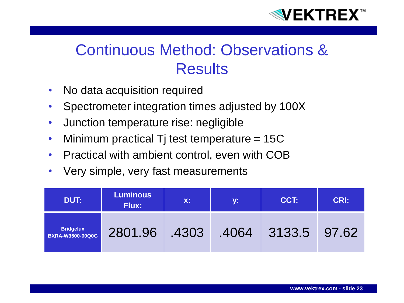

## Continuous Method: Observations & **Results**

- No data acquisition required
- Spectrometer integration times adjusted by 100X
- Junction temperature rise: negligible
- Minimum practical Tj test temperature = 15C
- Practical with ambient control, even with COB
- Very simple, very fast measurements

| DUT:                                        | <b>Luminous</b><br><b>Flux:</b> | <b>X:</b> '<br>y: |       | CCT:         | <b>CRI:</b> |
|---------------------------------------------|---------------------------------|-------------------|-------|--------------|-------------|
| <b>Bridgelux</b><br><b>BXRA-W3500-00Q0G</b> | 2801.96                         | .4303             | .4064 | 3133.5 97.62 |             |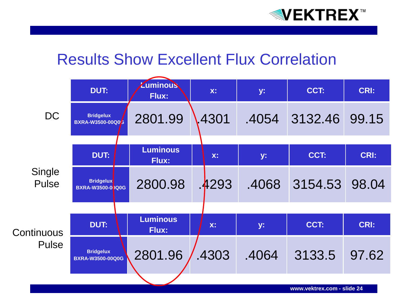

### Results Show Excellent Flux Correlation

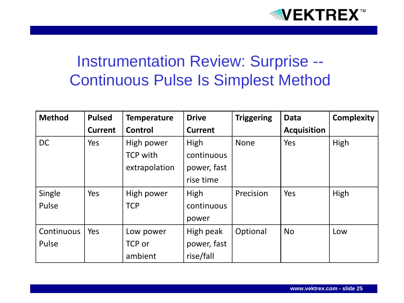

## Instrumentation Review: Surprise -- Continuous Pulse Is Simplest Method

| <b>Method</b> | <b>Pulsed</b>  | <b>Temperature</b> | <b>Drive</b>   | <b>Triggering</b> | <b>Data</b>        | <b>Complexity</b> |
|---------------|----------------|--------------------|----------------|-------------------|--------------------|-------------------|
|               | <b>Current</b> | Control            | <b>Current</b> |                   | <b>Acquisition</b> |                   |
| <b>DC</b>     | Yes            | High power         | High           | <b>None</b>       | Yes                | High              |
|               |                | <b>TCP with</b>    | continuous     |                   |                    |                   |
|               |                | extrapolation      | power, fast    |                   |                    |                   |
|               |                |                    | rise time      |                   |                    |                   |
| Single        | Yes            | High power         | High           | Precision         | Yes                | High              |
| Pulse         |                | <b>TCP</b>         | continuous     |                   |                    |                   |
|               |                |                    | power          |                   |                    |                   |
| Continuous    | Yes            | Low power          | High peak      | Optional          | <b>No</b>          | Low               |
| Pulse         |                | TCP or             | power, fast    |                   |                    |                   |
|               |                | ambient            | rise/fall      |                   |                    |                   |